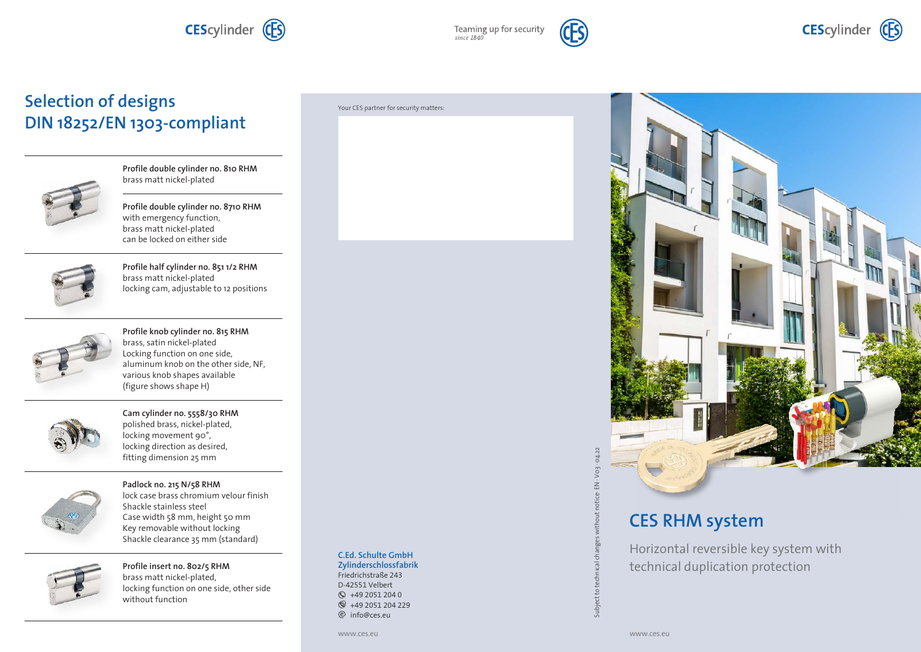**CEScylinder** (CES)

Teaming up for security<br>since 1840



## **Selection of designs DIN 18252/EN 1303-compliant**



**Profile double cylinder no. 810 RHM** brass matt nickel-plated

**Profile double cylinder no. 8710 RHM** with emergency function, brass matt nickel-plated can be locked on either side



**Profile half cylinder no. 851 1/2 RHM** brass matt nickel-plated locking cam, adjustable to 12 positions



**Profile knob cylinder no. 815 RHM** brass, satin nickel-plated Locking function on one side, aluminum knob on the other side, NF, various knob shapes available (figure shows shape H)



**Cam cylinder no. 5558/30 RHM** polished brass, nickel-plated, locking movement 90°, locking direction as desired, fitting dimension 25 mm



**Padlock no. 215 N/58 RHM** lock case brass chromium velour finish Shackle stainless steel Case width 58 mm, height 50 mm Key removable without locking Shackle clearance 35 mm (standard)



**Profile insert no. 802/5 RHM** brass matt nickel-plated, locking function on one side, other side without function

### Your CES partner for security matters:

### **C.Ed. Schulte GmbH Zylinderschlossfabrik** Friedrichstraße 243 D-42551 Velbert  $\odot$  +49 2051 204 0  $\circ$  +49 2051 204 229 e info@ces.eu



# **CES RHM system**

Horizontal reversible key system with technical duplication protection

ē Subject<sup>+</sup>